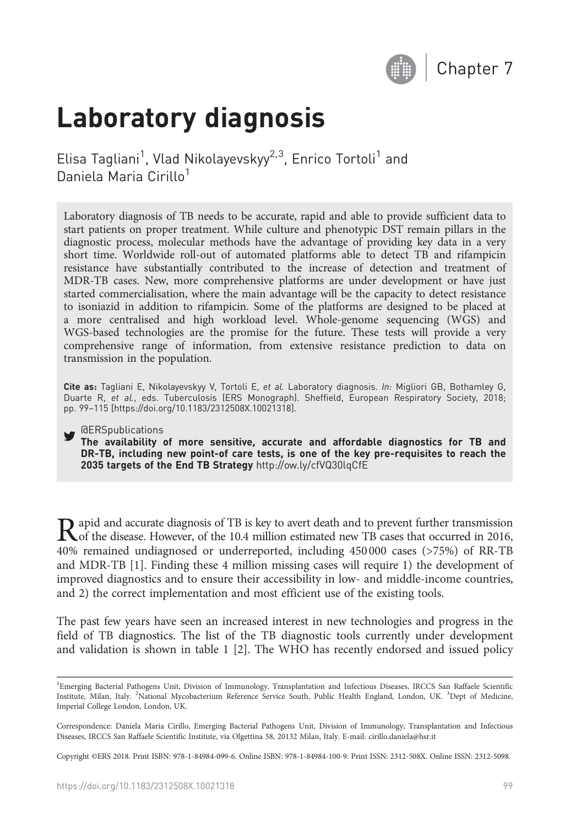

# Laboratory diagnosis

Elisa Tagliani<sup>1</sup>, Vlad Nikolayevskyy<sup>2,3</sup>, Enrico Tortoli<sup>1</sup> and Daniela Maria Cirillo<sup>1</sup>

Laboratory diagnosis of TB needs to be accurate, rapid and able to provide sufficient data to start patients on proper treatment. While culture and phenotypic DST remain pillars in the diagnostic process, molecular methods have the advantage of providing key data in a very short time. Worldwide roll-out of automated platforms able to detect TB and rifampicin resistance have substantially contributed to the increase of detection and treatment of MDR-TB cases. New, more comprehensive platforms are under development or have just started commercialisation, where the main advantage will be the capacity to detect resistance to isoniazid in addition to rifampicin. Some of the platforms are designed to be placed at a more centralised and high workload level. Whole-genome sequencing (WGS) and WGS-based technologies are the promise for the future. These tests will provide a very comprehensive range of information, from extensive resistance prediction to data on transmission in the population.

Cite as: Tagliani E, Nikolayevskyy V, Tortoli E, et al. Laboratory diagnosis. In: Migliori GB, Bothamley G, Duarte R, et al., eds. Tuberculosis (ERS Monograph). Sheffield, European Respiratory Society, 2018; pp. 99–115 [\[https://doi.org/10.1183/2312508X.10021318\]](https://doi.org/10.1183/2312508X.10021318).

**@ERSpublications** 

The availability of more sensitive, accurate and affordable diagnostics for TB and DR-TB, including new point-of care tests, is one of the key pre-requisites to reach the 2035 targets of the End TB Strategy <http://ow.ly/cfVQ30lqCfE>

Rapid and accurate diagnosis of TB is key to avert death and to prevent further transmission<br>of the disease. However, of the 10.4 million estimated new TB cases that occurred in 2016,<br> $\frac{40\%}{25\%}$  and in the mass of an 40% remained undiagnosed or underreported, including 450 000 cases (>75%) of RR-TB and MDR-TB [[1](#page--1-0)]. Finding these 4 million missing cases will require 1) the development of improved diagnostics and to ensure their accessibility in low- and middle-income countries, and 2) the correct implementation and most efficient use of the existing tools.

The past few years have seen an increased interest in new technologies and progress in the field of TB diagnostics. The list of the TB diagnostic tools currently under development and validation is shown in [table 1](#page-1-0) [\[2](#page--1-0)]. The WHO has recently endorsed and issued policy

Copyright ©ERS 2018. Print ISBN: 978-1-84984-099-6. Online ISBN: 978-1-84984-100-9. Print ISSN: 2312-508X. Online ISSN: 2312-5098.

<sup>&</sup>lt;sup>1</sup>Emerging Bacterial Pathogens Unit, Division of Immunology, Transplantation and Infectious Diseases, IRCCS San Raffaele Scientific Institute, Milan, Italy. <sup>2</sup>National Mycobacterium Reference Service South, Public Health England, London, UK. <sup>3</sup>Dept of Medicine, Imperial College London, London, UK.

Correspondence: Daniela Maria Cirillo, Emerging Bacterial Pathogens Unit, Division of Immunology, Transplantation and Infectious Diseases, IRCCS San Raffaele Scientific Institute, via Olgettina 58, 20132 Milan, Italy. E-mail: [cirillo.daniela@hsr.it](mailto:cirillo.daniela@hsr.it)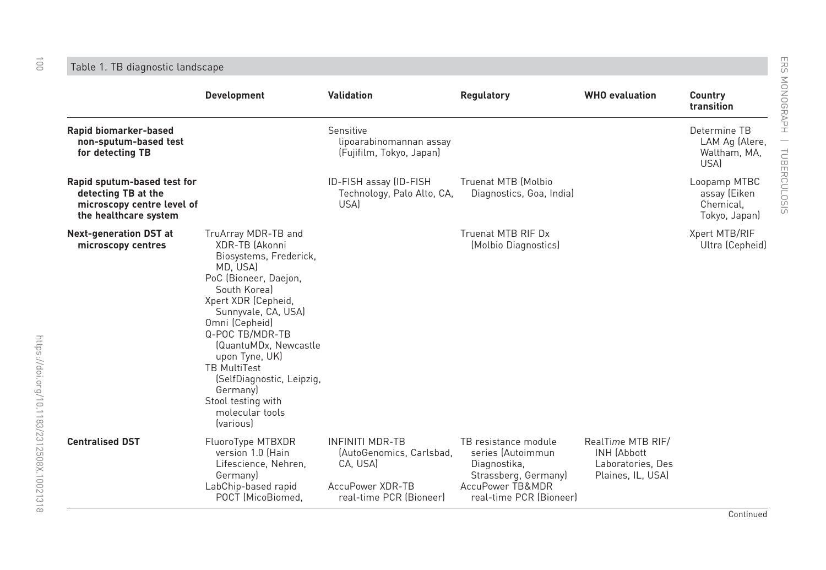Table 1. TB diagnostic landscape

|                                                                                                           | <b>Development</b>                                                                                                                                                                                                                                                                                                                                                              | <b>Validation</b>                                                                                             | <b>Regulatory</b>                                                                                                                | <b>WHO</b> evaluation                                                             | Country<br>transition                                      |
|-----------------------------------------------------------------------------------------------------------|---------------------------------------------------------------------------------------------------------------------------------------------------------------------------------------------------------------------------------------------------------------------------------------------------------------------------------------------------------------------------------|---------------------------------------------------------------------------------------------------------------|----------------------------------------------------------------------------------------------------------------------------------|-----------------------------------------------------------------------------------|------------------------------------------------------------|
| Rapid biomarker-based<br>non-sputum-based test<br>for detecting TB                                        |                                                                                                                                                                                                                                                                                                                                                                                 | Sensitive<br>lipoarabinomannan assay<br>(Fujifilm, Tokyo, Japan)                                              |                                                                                                                                  |                                                                                   | Determine TB<br>LAM Ag (Alere,<br>Waltham, MA,<br>USA)     |
| Rapid sputum-based test for<br>detecting TB at the<br>microscopy centre level of<br>the healthcare system |                                                                                                                                                                                                                                                                                                                                                                                 | ID-FISH assay (ID-FISH<br>Technology, Palo Alto, CA,<br>USA)                                                  | Truenat MTB (Molbio<br>Diagnostics, Goa, India)                                                                                  |                                                                                   | Loopamp MTBC<br>assay (Eiken<br>Chemical,<br>Tokyo, Japan) |
| <b>Next-generation DST at</b><br>microscopy centres                                                       | TruArray MDR-TB and<br>XDR-TB (Akonni<br>Biosystems, Frederick,<br>MD, USA)<br>PoC (Bioneer, Daejon,<br>South Koreal<br>Xpert XDR (Cepheid,<br>Sunnyvale, CA, USA)<br>Omni (Cepheid)<br>Q-POC TB/MDR-TB<br>(QuantuMDx, Newcastle<br>upon Tyne, UK)<br><b>TB MultiTest</b><br>(SelfDiagnostic, Leipzig,<br>Germany)<br>Stool testing with<br>molecular tools<br><i>(various)</i> |                                                                                                               | Truenat MTB RIF Dx<br>(Molbio Diagnostics)                                                                                       |                                                                                   | Xpert MTB/RIF<br>Ultra (Cepheid)                           |
| <b>Centralised DST</b>                                                                                    | FluoroType MTBXDR<br>version 1.0 (Hain<br>Lifescience, Nehren,<br>Germany)<br>LabChip-based rapid<br>POCT (MicoBiomed.                                                                                                                                                                                                                                                          | <b>INFINITI MDR-TB</b><br>(AutoGenomics, Carlsbad,<br>CA, USA)<br>AccuPower XDR-TB<br>real-time PCR (Bioneer) | TB resistance module<br>series (Autoimmun<br>Diagnostika,<br>Strassberg, Germany)<br>AccuPower TB&MDR<br>real-time PCR (Bioneer) | RealTime MTB RIF/<br><b>INH (Abbott</b><br>Laboratories, Des<br>Plaines, IL, USA) |                                                            |

<span id="page-1-0"></span> $\overrightarrow{0}$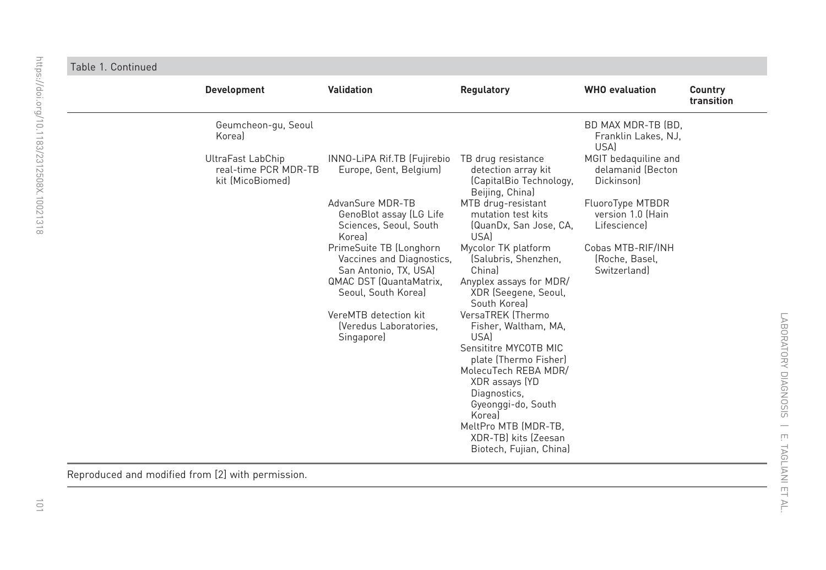| $\frac{1}{3}$<br>$\frac{1}{2}$  |  |
|---------------------------------|--|
| j                               |  |
| $\ddot{\phantom{a}}$<br>I       |  |
| i //                            |  |
| Ś<br>j<br>í                     |  |
|                                 |  |
|                                 |  |
| ¢                               |  |
|                                 |  |
|                                 |  |
|                                 |  |
|                                 |  |
|                                 |  |
|                                 |  |
|                                 |  |
|                                 |  |
|                                 |  |
|                                 |  |
|                                 |  |
|                                 |  |
|                                 |  |
|                                 |  |
| di. org/10.1183/2312508X.10021: |  |
|                                 |  |
| $\overline{a}$<br>J<br>l<br>ś   |  |
| $\breve{}$<br>X<br>j            |  |
|                                 |  |
|                                 |  |
|                                 |  |
|                                 |  |
|                                 |  |
|                                 |  |
|                                 |  |
|                                 |  |
|                                 |  |
|                                 |  |
|                                 |  |
|                                 |  |
|                                 |  |
|                                 |  |
|                                 |  |
|                                 |  |
|                                 |  |
|                                 |  |
|                                 |  |
|                                 |  |
|                                 |  |
|                                 |  |
|                                 |  |
|                                 |  |
|                                 |  |
|                                 |  |
|                                 |  |
|                                 |  |
|                                 |  |
|                                 |  |
|                                 |  |
|                                 |  |
|                                 |  |
|                                 |  |
|                                 |  |
|                                 |  |
|                                 |  |
|                                 |  |
|                                 |  |
| $\equiv$                        |  |
|                                 |  |

 $\overline{\phantom{a}}$ 

#### Table 1. Continued

| <b>Development</b>                              |                                          | <b>Validation</b>                                                                                                                                                                                                                                                                                                                                   | <b>Regulatory</b>                                                                                                                                                                                                                                                                                                                                                                                                                                                                                                                                                             | <b>WHO</b> evaluation                                                                                                                                                  | Country<br>transition |
|-------------------------------------------------|------------------------------------------|-----------------------------------------------------------------------------------------------------------------------------------------------------------------------------------------------------------------------------------------------------------------------------------------------------------------------------------------------------|-------------------------------------------------------------------------------------------------------------------------------------------------------------------------------------------------------------------------------------------------------------------------------------------------------------------------------------------------------------------------------------------------------------------------------------------------------------------------------------------------------------------------------------------------------------------------------|------------------------------------------------------------------------------------------------------------------------------------------------------------------------|-----------------------|
| Koreal                                          | Geumcheon-gu, Seoul                      |                                                                                                                                                                                                                                                                                                                                                     |                                                                                                                                                                                                                                                                                                                                                                                                                                                                                                                                                                               | BD MAX MDR-TB (BD,<br>Franklin Lakes, NJ,<br><b>USA</b>                                                                                                                |                       |
| UltraFast LabChip                               | real-time PCR MDR-TB<br>kit (MicoBiomed) | INNO-LiPA Rif.TB (Fujirebio<br>Europe, Gent, Belgium)<br>AdvanSure MDR-TB<br>GenoBlot assay (LG Life<br>Sciences, Seoul, South<br>Koreal<br>PrimeSuite TB (Longhorn<br>Vaccines and Diagnostics,<br>San Antonio, TX, USA)<br><b>QMAC DST (QuantaMatrix,</b><br>Seoul, South Korea)<br>VereMTB detection kit<br>(Veredus Laboratories,<br>Singapore) | TB drug resistance<br>detection array kit<br>(CapitalBio Technology,<br>Beijing, China)<br>MTB drug-resistant<br>mutation test kits<br>(QuanDx, San Jose, CA,<br>USA)<br>Mycolor TK platform<br>(Salubris, Shenzhen,<br>Chinal<br>Anyplex assays for MDR/<br>XDR (Seegene, Seoul,<br>South Koreal<br>VersaTREK (Thermo<br>Fisher, Waltham, MA,<br>USA)<br>Sensititre MYCOTB MIC<br>plate (Thermo Fisher)<br>MolecuTech REBA MDR/<br>XDR assays (YD<br>Diagnostics,<br>Gyeonggi-do, South<br>Koreal<br>MeltPro MTB (MDR-TB,<br>XDR-TBI kits (Zeesan<br>Biotech, Fujian, China) | MGIT bedaquiline and<br>delamanid (Becton<br>Dickinson<br>FluoroType MTBDR<br>version 1.0 (Hain<br>Lifesciencel<br>Cobas MTB-RIF/INH<br>(Roche, Basel,<br>Switzerland) |                       |
| enteduced and modified from [2] with nermission |                                          |                                                                                                                                                                                                                                                                                                                                                     |                                                                                                                                                                                                                                                                                                                                                                                                                                                                                                                                                                               |                                                                                                                                                                        |                       |

Reproduced and modified from [[2](#page--1-0)] with permission.

i.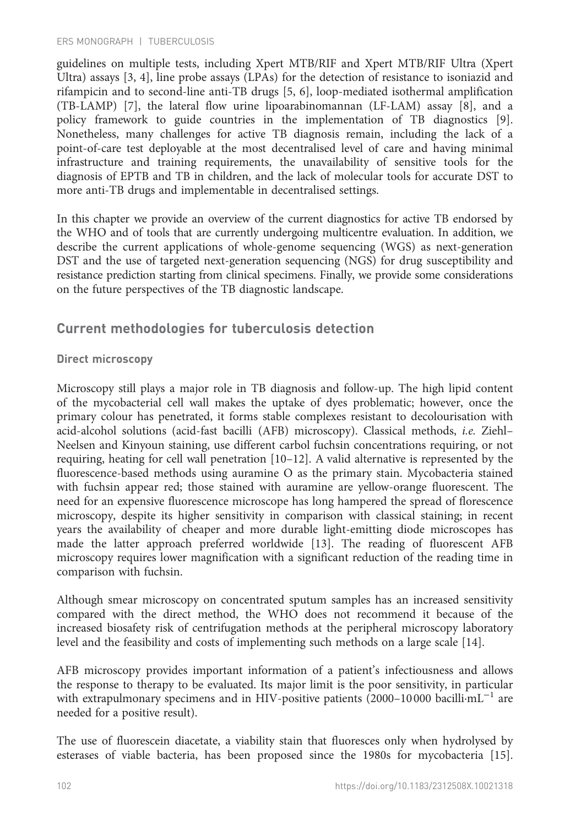guidelines on multiple tests, including Xpert MTB/RIF and Xpert MTB/RIF Ultra (Xpert Ultra) assays [[3](#page--1-0), [4](#page--1-0)], line probe assays (LPAs) for the detection of resistance to isoniazid and rifampicin and to second-line anti-TB drugs [\[5](#page--1-0), [6\]](#page--1-0), loop-mediated isothermal amplification (TB-LAMP) [[7\]](#page--1-0), the lateral flow urine lipoarabinomannan (LF-LAM) assay [\[8](#page--1-0)], and a policy framework to guide countries in the implementation of TB diagnostics [[9\]](#page--1-0). Nonetheless, many challenges for active TB diagnosis remain, including the lack of a point-of-care test deployable at the most decentralised level of care and having minimal infrastructure and training requirements, the unavailability of sensitive tools for the diagnosis of EPTB and TB in children, and the lack of molecular tools for accurate DST to more anti-TB drugs and implementable in decentralised settings.

In this chapter we provide an overview of the current diagnostics for active TB endorsed by the WHO and of tools that are currently undergoing multicentre evaluation. In addition, we describe the current applications of whole-genome sequencing (WGS) as next-generation DST and the use of targeted next-generation sequencing (NGS) for drug susceptibility and resistance prediction starting from clinical specimens. Finally, we provide some considerations on the future perspectives of the TB diagnostic landscape.

# Current methodologies for tuberculosis detection

# Direct microscopy

Microscopy still plays a major role in TB diagnosis and follow-up. The high lipid content of the mycobacterial cell wall makes the uptake of dyes problematic; however, once the primary colour has penetrated, it forms stable complexes resistant to decolourisation with acid-alcohol solutions (acid-fast bacilli (AFB) microscopy). Classical methods, i.e. Ziehl– Neelsen and Kinyoun staining, use different carbol fuchsin concentrations requiring, or not requiring, heating for cell wall penetration [[10](#page--1-0)–[12](#page--1-0)]. A valid alternative is represented by the fluorescence-based methods using auramine O as the primary stain. Mycobacteria stained with fuchsin appear red; those stained with auramine are yellow-orange fluorescent. The need for an expensive fluorescence microscope has long hampered the spread of florescence microscopy, despite its higher sensitivity in comparison with classical staining; in recent years the availability of cheaper and more durable light-emitting diode microscopes has made the latter approach preferred worldwide [\[13](#page--1-0)]. The reading of fluorescent AFB microscopy requires lower magnification with a significant reduction of the reading time in comparison with fuchsin.

Although smear microscopy on concentrated sputum samples has an increased sensitivity compared with the direct method, the WHO does not recommend it because of the increased biosafety risk of centrifugation methods at the peripheral microscopy laboratory level and the feasibility and costs of implementing such methods on a large scale [\[14](#page--1-0)].

AFB microscopy provides important information of a patient's infectiousness and allows the response to therapy to be evaluated. Its major limit is the poor sensitivity, in particular with extrapulmonary specimens and in HIV-positive patients (2000–10 000 bacilli·mL−<sup>1</sup> are needed for a positive result).

The use of fluorescein diacetate, a viability stain that fluoresces only when hydrolysed by esterases of viable bacteria, has been proposed since the 1980s for mycobacteria [[15\]](#page--1-0).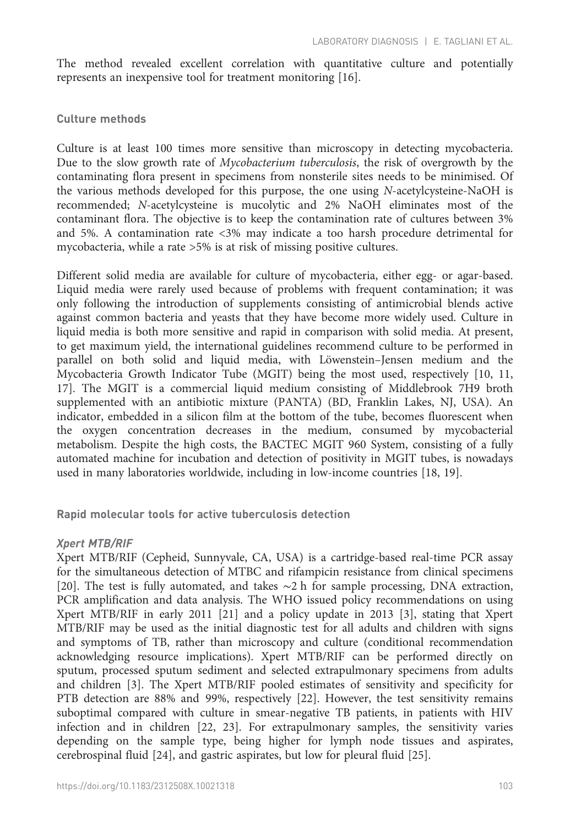The method revealed excellent correlation with quantitative culture and potentially represents an inexpensive tool for treatment monitoring [\[16](#page--1-0)].

#### Culture methods

Culture is at least 100 times more sensitive than microscopy in detecting mycobacteria. Due to the slow growth rate of Mycobacterium tuberculosis, the risk of overgrowth by the contaminating flora present in specimens from nonsterile sites needs to be minimised. Of the various methods developed for this purpose, the one using N-acetylcysteine-NaOH is recommended; N-acetylcysteine is mucolytic and 2% NaOH eliminates most of the contaminant flora. The objective is to keep the contamination rate of cultures between 3% and 5%. A contamination rate <3% may indicate a too harsh procedure detrimental for mycobacteria, while a rate >5% is at risk of missing positive cultures.

Different solid media are available for culture of mycobacteria, either egg- or agar-based. Liquid media were rarely used because of problems with frequent contamination; it was only following the introduction of supplements consisting of antimicrobial blends active against common bacteria and yeasts that they have become more widely used. Culture in liquid media is both more sensitive and rapid in comparison with solid media. At present, to get maximum yield, the international guidelines recommend culture to be performed in parallel on both solid and liquid media, with Löwenstein–Jensen medium and the Mycobacteria Growth Indicator Tube (MGIT) being the most used, respectively [\[10](#page--1-0), [11](#page--1-0), [17](#page--1-0)]. The MGIT is a commercial liquid medium consisting of Middlebrook 7H9 broth supplemented with an antibiotic mixture (PANTA) (BD, Franklin Lakes, NJ, USA). An indicator, embedded in a silicon film at the bottom of the tube, becomes fluorescent when the oxygen concentration decreases in the medium, consumed by mycobacterial metabolism. Despite the high costs, the BACTEC MGIT 960 System, consisting of a fully automated machine for incubation and detection of positivity in MGIT tubes, is nowadays used in many laboratories worldwide, including in low-income countries [\[18](#page--1-0), [19\]](#page--1-0).

Rapid molecular tools for active tuberculosis detection

#### Xpert MTB/RIF

Xpert MTB/RIF (Cepheid, Sunnyvale, CA, USA) is a cartridge-based real-time PCR assay for the simultaneous detection of MTBC and rifampicin resistance from clinical specimens [[20\]](#page--1-0). The test is fully automated, and takes ∼2 h for sample processing, DNA extraction, PCR amplification and data analysis. The WHO issued policy recommendations on using Xpert MTB/RIF in early 2011 [\[21](#page--1-0)] and a policy update in 2013 [\[3](#page--1-0)], stating that Xpert MTB/RIF may be used as the initial diagnostic test for all adults and children with signs and symptoms of TB, rather than microscopy and culture (conditional recommendation acknowledging resource implications). Xpert MTB/RIF can be performed directly on sputum, processed sputum sediment and selected extrapulmonary specimens from adults and children [\[3\]](#page--1-0). The Xpert MTB/RIF pooled estimates of sensitivity and specificity for PTB detection are 88% and 99%, respectively [\[22](#page--1-0)]. However, the test sensitivity remains suboptimal compared with culture in smear-negative TB patients, in patients with HIV infection and in children [\[22](#page--1-0), [23\]](#page--1-0). For extrapulmonary samples, the sensitivity varies depending on the sample type, being higher for lymph node tissues and aspirates, cerebrospinal fluid [\[24](#page--1-0)], and gastric aspirates, but low for pleural fluid [[25\]](#page--1-0).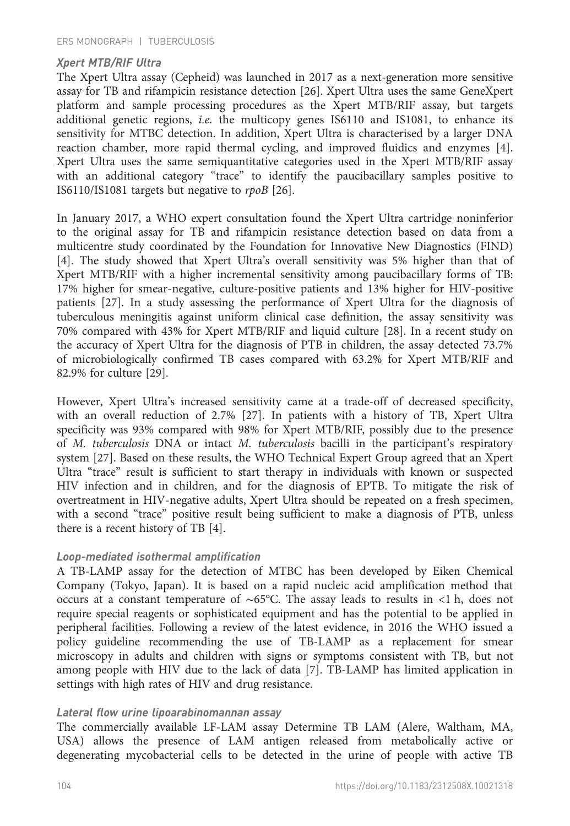#### Xpert MTB/RIF Ultra

The Xpert Ultra assay (Cepheid) was launched in 2017 as a next-generation more sensitive assay for TB and rifampicin resistance detection [[26\]](#page--1-0). Xpert Ultra uses the same GeneXpert platform and sample processing procedures as the Xpert MTB/RIF assay, but targets additional genetic regions, i.e. the multicopy genes IS6110 and IS1081, to enhance its sensitivity for MTBC detection. In addition, Xpert Ultra is characterised by a larger DNA reaction chamber, more rapid thermal cycling, and improved fluidics and enzymes [[4\]](#page--1-0). Xpert Ultra uses the same semiquantitative categories used in the Xpert MTB/RIF assay with an additional category "trace" to identify the paucibacillary samples positive to IS6110/IS1081 targets but negative to rpoB [[26\]](#page--1-0).

In January 2017, a WHO expert consultation found the Xpert Ultra cartridge noninferior to the original assay for TB and rifampicin resistance detection based on data from a multicentre study coordinated by the Foundation for Innovative New Diagnostics (FIND) [[4\]](#page--1-0). The study showed that Xpert Ultra's overall sensitivity was 5% higher than that of Xpert MTB/RIF with a higher incremental sensitivity among paucibacillary forms of TB: 17% higher for smear-negative, culture-positive patients and 13% higher for HIV-positive patients [[27\]](#page--1-0). In a study assessing the performance of Xpert Ultra for the diagnosis of tuberculous meningitis against uniform clinical case definition, the assay sensitivity was 70% compared with 43% for Xpert MTB/RIF and liquid culture [[28\]](#page-13-0). In a recent study on the accuracy of Xpert Ultra for the diagnosis of PTB in children, the assay detected 73.7% of microbiologically confirmed TB cases compared with 63.2% for Xpert MTB/RIF and 82.9% for culture [\[29](#page-13-0)].

However, Xpert Ultra's increased sensitivity came at a trade-off of decreased specificity, with an overall reduction of 2.7% [\[27](#page--1-0)]. In patients with a history of TB, Xpert Ultra specificity was 93% compared with 98% for Xpert MTB/RIF, possibly due to the presence of M. tuberculosis DNA or intact M. tuberculosis bacilli in the participant's respiratory system [[27\]](#page--1-0). Based on these results, the WHO Technical Expert Group agreed that an Xpert Ultra "trace" result is sufficient to start therapy in individuals with known or suspected HIV infection and in children, and for the diagnosis of EPTB. To mitigate the risk of overtreatment in HIV-negative adults, Xpert Ultra should be repeated on a fresh specimen, with a second "trace" positive result being sufficient to make a diagnosis of PTB, unless there is a recent history of TB [\[4](#page--1-0)].

#### Loop-mediated isothermal amplification

A TB-LAMP assay for the detection of MTBC has been developed by Eiken Chemical Company (Tokyo, Japan). It is based on a rapid nucleic acid amplification method that occurs at a constant temperature of ∼65°C. The assay leads to results in <1 h, does not require special reagents or sophisticated equipment and has the potential to be applied in peripheral facilities. Following a review of the latest evidence, in 2016 the WHO issued a policy guideline recommending the use of TB-LAMP as a replacement for smear microscopy in adults and children with signs or symptoms consistent with TB, but not among people with HIV due to the lack of data [\[7](#page--1-0)]. TB-LAMP has limited application in settings with high rates of HIV and drug resistance.

#### Lateral flow urine lipoarabinomannan assay

The commercially available LF-LAM assay Determine TB LAM (Alere, Waltham, MA, USA) allows the presence of LAM antigen released from metabolically active or degenerating mycobacterial cells to be detected in the urine of people with active TB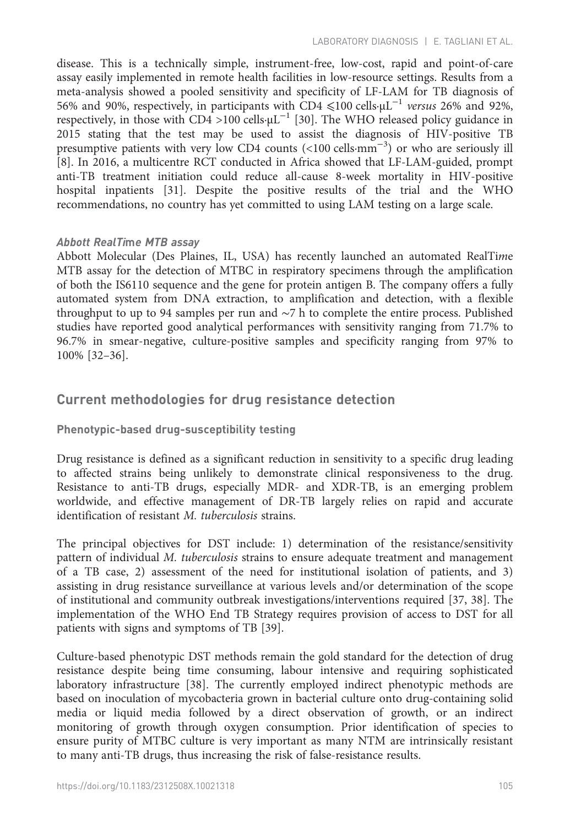disease. This is a technically simple, instrument-free, low-cost, rapid and point-of-care assay easily implemented in remote health facilities in low-resource settings. Results from a meta-analysis showed a pooled sensitivity and specificity of LF-LAM for TB diagnosis of 56% and 90%, respectively, in participants with CD4  $\leq 100$  cells⋅µL<sup>-1</sup> versus 26% and 92%, respectively, in those with  $CD4 > 100$  cells⋅ $\mu$ L<sup>-1</sup> [\[30](#page-13-0)]. The WHO released policy guidance in 2015 stating that the test may be used to assist the diagnosis of HIV-positive TB presumptive patients with very low CD4 counts (<100 cells·mm<sup>-3</sup>) or who are seriously ill [[8\]](#page--1-0). In 2016, a multicentre RCT conducted in Africa showed that LF-LAM-guided, prompt anti-TB treatment initiation could reduce all-cause 8-week mortality in HIV-positive hospital inpatients [\[31\]](#page-14-0). Despite the positive results of the trial and the WHO recommendations, no country has yet committed to using LAM testing on a large scale.

# Abbott RealTime MTB assay

Abbott Molecular (Des Plaines, IL, USA) has recently launched an automated RealTime MTB assay for the detection of MTBC in respiratory specimens through the amplification of both the IS6110 sequence and the gene for protein antigen B. The company offers a fully automated system from DNA extraction, to amplification and detection, with a flexible throughput to up to 94 samples per run and ∼7 h to complete the entire process. Published studies have reported good analytical performances with sensitivity ranging from 71.7% to 96.7% in smear-negative, culture-positive samples and specificity ranging from 97% to 100% [[32](#page-14-0)–[36](#page-14-0)].

# Current methodologies for drug resistance detection

# Phenotypic-based drug-susceptibility testing

Drug resistance is defined as a significant reduction in sensitivity to a specific drug leading to affected strains being unlikely to demonstrate clinical responsiveness to the drug. Resistance to anti-TB drugs, especially MDR- and XDR-TB, is an emerging problem worldwide, and effective management of DR-TB largely relies on rapid and accurate identification of resistant M. tuberculosis strains.

The principal objectives for DST include: 1) determination of the resistance/sensitivity pattern of individual M. tuberculosis strains to ensure adequate treatment and management of a TB case, 2) assessment of the need for institutional isolation of patients, and 3) assisting in drug resistance surveillance at various levels and/or determination of the scope of institutional and community outbreak investigations/interventions required [\[37](#page-14-0), [38\]](#page-14-0). The implementation of the WHO End TB Strategy requires provision of access to DST for all patients with signs and symptoms of TB [[39\]](#page-14-0).

Culture-based phenotypic DST methods remain the gold standard for the detection of drug resistance despite being time consuming, labour intensive and requiring sophisticated laboratory infrastructure [[38\]](#page-14-0). The currently employed indirect phenotypic methods are based on inoculation of mycobacteria grown in bacterial culture onto drug-containing solid media or liquid media followed by a direct observation of growth, or an indirect monitoring of growth through oxygen consumption. Prior identification of species to ensure purity of MTBC culture is very important as many NTM are intrinsically resistant to many anti-TB drugs, thus increasing the risk of false-resistance results.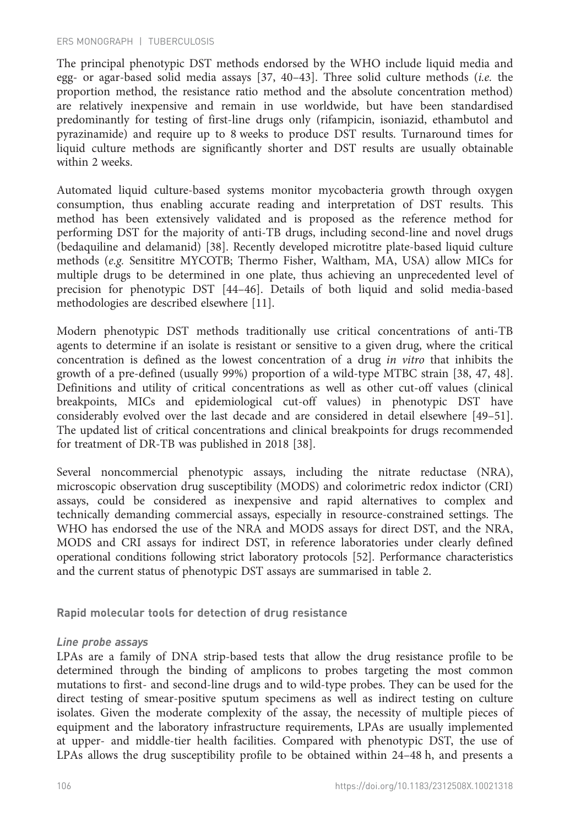The principal phenotypic DST methods endorsed by the WHO include liquid media and egg- or agar-based solid media assays [\[37](#page-14-0), [40](#page-14-0)–[43\]](#page-14-0). Three solid culture methods (i.e. the proportion method, the resistance ratio method and the absolute concentration method) are relatively inexpensive and remain in use worldwide, but have been standardised predominantly for testing of first-line drugs only (rifampicin, isoniazid, ethambutol and pyrazinamide) and require up to 8 weeks to produce DST results. Turnaround times for liquid culture methods are significantly shorter and DST results are usually obtainable within 2 weeks.

Automated liquid culture-based systems monitor mycobacteria growth through oxygen consumption, thus enabling accurate reading and interpretation of DST results. This method has been extensively validated and is proposed as the reference method for performing DST for the majority of anti-TB drugs, including second-line and novel drugs (bedaquiline and delamanid) [[38\]](#page-14-0). Recently developed microtitre plate-based liquid culture methods (e.g. Sensititre MYCOTB; Thermo Fisher, Waltham, MA, USA) allow MICs for multiple drugs to be determined in one plate, thus achieving an unprecedented level of precision for phenotypic DST [[44](#page-14-0)–[46](#page-14-0)]. Details of both liquid and solid media-based methodologies are described elsewhere [[11\]](#page--1-0).

Modern phenotypic DST methods traditionally use critical concentrations of anti-TB agents to determine if an isolate is resistant or sensitive to a given drug, where the critical concentration is defined as the lowest concentration of a drug in vitro that inhibits the growth of a pre-defined (usually 99%) proportion of a wild-type MTBC strain [[38, 47, 48\]](#page-14-0). Definitions and utility of critical concentrations as well as other cut-off values (clinical breakpoints, MICs and epidemiological cut-off values) in phenotypic DST have considerably evolved over the last decade and are considered in detail elsewhere [\[49](#page-14-0)–[51\]](#page-14-0). The updated list of critical concentrations and clinical breakpoints for drugs recommended for treatment of DR-TB was published in 2018 [[38\]](#page-14-0).

Several noncommercial phenotypic assays, including the nitrate reductase (NRA), microscopic observation drug susceptibility (MODS) and colorimetric redox indictor (CRI) assays, could be considered as inexpensive and rapid alternatives to complex and technically demanding commercial assays, especially in resource-constrained settings. The WHO has endorsed the use of the NRA and MODS assays for direct DST, and the NRA, MODS and CRI assays for indirect DST, in reference laboratories under clearly defined operational conditions following strict laboratory protocols [\[52](#page-14-0)]. Performance characteristics and the current status of phenotypic DST assays are summarised in [table 2.](#page-8-0)

Rapid molecular tools for detection of drug resistance

#### Line probe assays

LPAs are a family of DNA strip-based tests that allow the drug resistance profile to be determined through the binding of amplicons to probes targeting the most common mutations to first- and second-line drugs and to wild-type probes. They can be used for the direct testing of smear-positive sputum specimens as well as indirect testing on culture isolates. Given the moderate complexity of the assay, the necessity of multiple pieces of equipment and the laboratory infrastructure requirements, LPAs are usually implemented at upper- and middle-tier health facilities. Compared with phenotypic DST, the use of LPAs allows the drug susceptibility profile to be obtained within 24–48 h, and presents a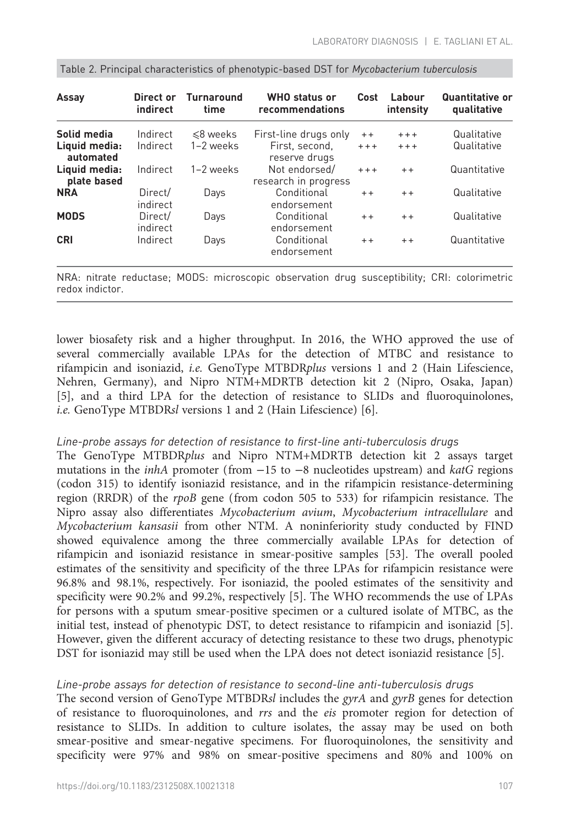| Assay                        | Direct or<br>indirect | <b>Turnaround</b><br>time | <b>WHO</b> status or<br>recommendations | Cost    | Labour<br>intensity | Quantitative or<br>qualitative |
|------------------------------|-----------------------|---------------------------|-----------------------------------------|---------|---------------------|--------------------------------|
| Solid media                  | Indirect              | $\leq 8$ weeks            | First-line drugs only                   | $+ +$   | $+ + +$             | Qualitative                    |
| Liquid media:<br>automated   | Indirect              | 1-2 weeks                 | First, second,<br>reserve drugs         | $+ + +$ | $+ + +$             | Qualitative                    |
| Liquid media:<br>plate based | Indirect              | 1-2 weeks                 | Not endorsed/<br>research in progress   | $+ + +$ | $+ +$               | Quantitative                   |
| <b>NRA</b>                   | Direct/<br>indirect   | Days                      | Conditional<br>endorsement              | $+ +$   | $+ +$               | Qualitative                    |
| <b>MODS</b>                  | Direct/<br>indirect   | Days                      | Conditional<br>endorsement              | $+ +$   | $+ +$               | Qualitative                    |
| <b>CRI</b>                   | Indirect              | Days                      | Conditional<br>endorsement              | $+ +$   | $+ +$               | Quantitative                   |

<span id="page-8-0"></span>

|  | Table 2. Principal characteristics of phenotypic-based DST for Mycobacterium tuberculosis |  |
|--|-------------------------------------------------------------------------------------------|--|
|  |                                                                                           |  |

NRA: nitrate reductase; MODS: microscopic observation drug susceptibility; CRI: colorimetric redox indictor.

lower biosafety risk and a higher throughput. In 2016, the WHO approved the use of several commercially available LPAs for the detection of MTBC and resistance to rifampicin and isoniazid, i.e. GenoType MTBDRplus versions 1 and 2 (Hain Lifescience, Nehren, Germany), and Nipro NTM+MDRTB detection kit 2 (Nipro, Osaka, Japan) [[5\]](#page--1-0), and a third LPA for the detection of resistance to SLIDs and fluoroquinolones, i.e. GenoType MTBDRsl versions 1 and 2 (Hain Lifescience) [[6\]](#page--1-0).

#### Line-probe assays for detection of resistance to first-line anti-tuberculosis drugs

The GenoType MTBDRplus and Nipro NTM+MDRTB detection kit 2 assays target mutations in the *inhA* promoter (from  $-15$  to  $-8$  nucleotides upstream) and *katG* regions (codon 315) to identify isoniazid resistance, and in the rifampicin resistance-determining region (RRDR) of the *rpoB* gene (from codon 505 to 533) for rifampicin resistance. The Nipro assay also differentiates Mycobacterium avium, Mycobacterium intracellulare and Mycobacterium kansasii from other NTM. A noninferiority study conducted by FIND showed equivalence among the three commercially available LPAs for detection of rifampicin and isoniazid resistance in smear-positive samples [\[53](#page-14-0)]. The overall pooled estimates of the sensitivity and specificity of the three LPAs for rifampicin resistance were 96.8% and 98.1%, respectively. For isoniazid, the pooled estimates of the sensitivity and specificity were 90.2% and 99.2%, respectively [[5\]](#page--1-0). The WHO recommends the use of LPAs for persons with a sputum smear-positive specimen or a cultured isolate of MTBC, as the initial test, instead of phenotypic DST, to detect resistance to rifampicin and isoniazid [[5\]](#page--1-0). However, given the different accuracy of detecting resistance to these two drugs, phenotypic DST for isoniazid may still be used when the LPA does not detect isoniazid resistance [\[5](#page--1-0)].

#### Line-probe assays for detection of resistance to second-line anti-tuberculosis drugs

The second version of GenoType MTBDRsl includes the gyrA and gyrB genes for detection of resistance to fluoroquinolones, and rrs and the eis promoter region for detection of resistance to SLIDs. In addition to culture isolates, the assay may be used on both smear-positive and smear-negative specimens. For fluoroquinolones, the sensitivity and specificity were 97% and 98% on smear-positive specimens and 80% and 100% on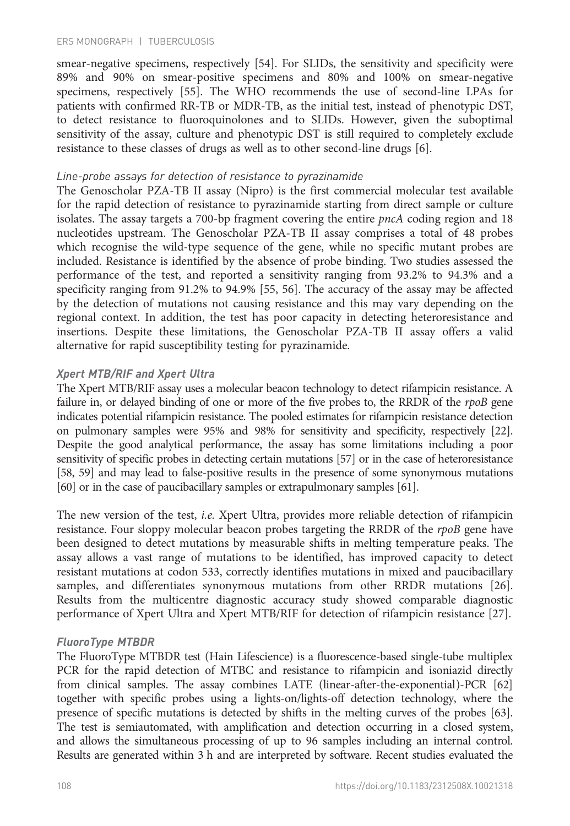smear-negative specimens, respectively [\[54](#page-14-0)]. For SLIDs, the sensitivity and specificity were 89% and 90% on smear-positive specimens and 80% and 100% on smear-negative specimens, respectively [[55\]](#page-14-0). The WHO recommends the use of second-line LPAs for patients with confirmed RR-TB or MDR-TB, as the initial test, instead of phenotypic DST, to detect resistance to fluoroquinolones and to SLIDs. However, given the suboptimal sensitivity of the assay, culture and phenotypic DST is still required to completely exclude resistance to these classes of drugs as well as to other second-line drugs [[6\]](#page--1-0).

#### Line-probe assays for detection of resistance to pyrazinamide

The Genoscholar PZA-TB II assay (Nipro) is the first commercial molecular test available for the rapid detection of resistance to pyrazinamide starting from direct sample or culture isolates. The assay targets a 700-bp fragment covering the entire  $pncA$  coding region and 18 nucleotides upstream. The Genoscholar PZA-TB II assay comprises a total of 48 probes which recognise the wild-type sequence of the gene, while no specific mutant probes are included. Resistance is identified by the absence of probe binding. Two studies assessed the performance of the test, and reported a sensitivity ranging from 93.2% to 94.3% and a specificity ranging from 91.2% to 94.9% [\[55](#page-14-0), [56](#page-15-0)]. The accuracy of the assay may be affected by the detection of mutations not causing resistance and this may vary depending on the regional context. In addition, the test has poor capacity in detecting heteroresistance and insertions. Despite these limitations, the Genoscholar PZA-TB II assay offers a valid alternative for rapid susceptibility testing for pyrazinamide.

#### Xpert MTB/RIF and Xpert Ultra

The Xpert MTB/RIF assay uses a molecular beacon technology to detect rifampicin resistance. A failure in, or delayed binding of one or more of the five probes to, the RRDR of the rpoB gene indicates potential rifampicin resistance. The pooled estimates for rifampicin resistance detection on pulmonary samples were 95% and 98% for sensitivity and specificity, respectively [\[22\]](#page--1-0). Despite the good analytical performance, the assay has some limitations including a poor sensitivity of specific probes in detecting certain mutations [\[57](#page-15-0)] or in the case of heteroresistance [[58](#page-15-0), [59\]](#page-15-0) and may lead to false-positive results in the presence of some synonymous mutations [[60](#page-15-0)] or in the case of paucibacillary samples or extrapulmonary samples [\[61\]](#page-15-0).

The new version of the test, i.e. Xpert Ultra, provides more reliable detection of rifampicin resistance. Four sloppy molecular beacon probes targeting the RRDR of the rpoB gene have been designed to detect mutations by measurable shifts in melting temperature peaks. The assay allows a vast range of mutations to be identified, has improved capacity to detect resistant mutations at codon 533, correctly identifies mutations in mixed and paucibacillary samples, and differentiates synonymous mutations from other RRDR mutations [[26\]](#page--1-0). Results from the multicentre diagnostic accuracy study showed comparable diagnostic performance of Xpert Ultra and Xpert MTB/RIF for detection of rifampicin resistance [\[27](#page--1-0)].

#### FluoroType MTBDR

The FluoroType MTBDR test (Hain Lifescience) is a fluorescence-based single-tube multiplex PCR for the rapid detection of MTBC and resistance to rifampicin and isoniazid directly from clinical samples. The assay combines LATE (linear-after-the-exponential)-PCR [\[62\]](#page-15-0) together with specific probes using a lights-on/lights-off detection technology, where the presence of specific mutations is detected by shifts in the melting curves of the probes [[63\]](#page-15-0). The test is semiautomated, with amplification and detection occurring in a closed system, and allows the simultaneous processing of up to 96 samples including an internal control. Results are generated within 3 h and are interpreted by software. Recent studies evaluated the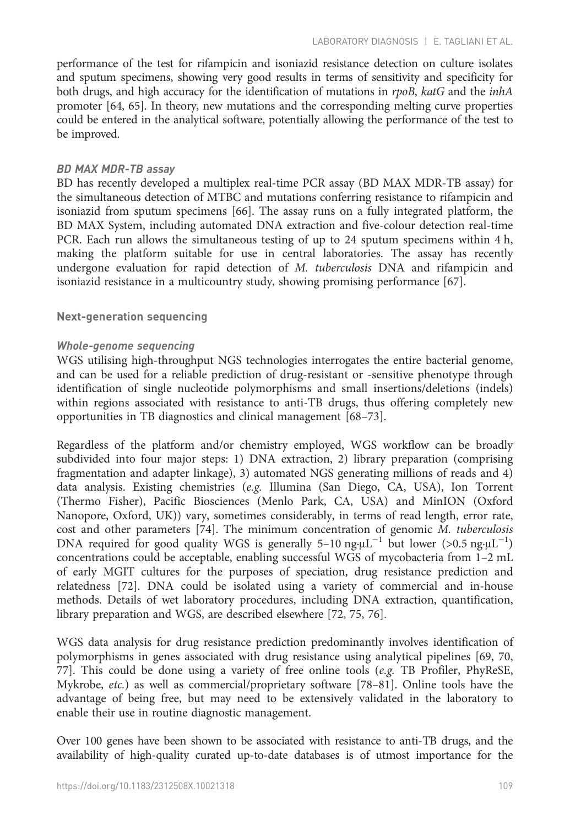performance of the test for rifampicin and isoniazid resistance detection on culture isolates and sputum specimens, showing very good results in terms of sensitivity and specificity for both drugs, and high accuracy for the identification of mutations in rpoB, katG and the *inhA* promoter [[64, 65](#page-15-0)]. In theory, new mutations and the corresponding melting curve properties could be entered in the analytical software, potentially allowing the performance of the test to be improved.

### BD MAX MDR-TB assay

BD has recently developed a multiplex real-time PCR assay (BD MAX MDR-TB assay) for the simultaneous detection of MTBC and mutations conferring resistance to rifampicin and isoniazid from sputum specimens [[66\]](#page-15-0). The assay runs on a fully integrated platform, the BD MAX System, including automated DNA extraction and five-colour detection real-time PCR. Each run allows the simultaneous testing of up to 24 sputum specimens within 4 h, making the platform suitable for use in central laboratories. The assay has recently undergone evaluation for rapid detection of M. tuberculosis DNA and rifampicin and isoniazid resistance in a multicountry study, showing promising performance [[67\]](#page-15-0).

# Next-generation sequencing

# Whole-genome sequencing

WGS utilising high-throughput NGS technologies interrogates the entire bacterial genome, and can be used for a reliable prediction of drug-resistant or -sensitive phenotype through identification of single nucleotide polymorphisms and small insertions/deletions (indels) within regions associated with resistance to anti-TB drugs, thus offering completely new opportunities in TB diagnostics and clinical management [\[68](#page-15-0)–[73\]](#page-15-0).

Regardless of the platform and/or chemistry employed, WGS workflow can be broadly subdivided into four major steps: 1) DNA extraction, 2) library preparation (comprising fragmentation and adapter linkage), 3) automated NGS generating millions of reads and 4) data analysis. Existing chemistries (e.g. Illumina (San Diego, CA, USA), Ion Torrent (Thermo Fisher), Pacific Biosciences (Menlo Park, CA, USA) and MinION (Oxford Nanopore, Oxford, UK)) vary, sometimes considerably, in terms of read length, error rate, cost and other parameters [[74\]](#page-15-0). The minimum concentration of genomic M. tuberculosis DNA required for good quality WGS is generally 5-10 ng·µL<sup>-1</sup> but lower (>0.5 ng·µL<sup>-1</sup>) concentrations could be acceptable, enabling successful WGS of mycobacteria from 1–2 mL of early MGIT cultures for the purposes of speciation, drug resistance prediction and relatedness [\[72](#page-15-0)]. DNA could be isolated using a variety of commercial and in-house methods. Details of wet laboratory procedures, including DNA extraction, quantification, library preparation and WGS, are described elsewhere [\[72](#page-15-0), [75, 76](#page-15-0)].

WGS data analysis for drug resistance prediction predominantly involves identification of polymorphisms in genes associated with drug resistance using analytical pipelines [[69](#page-15-0), [70](#page-15-0), [77](#page-15-0)]. This could be done using a variety of free online tools (e.g. TB Profiler, PhyReSE, Mykrobe, etc.) as well as commercial/proprietary software [[78](#page-15-0)–[81](#page-15-0)]. Online tools have the advantage of being free, but may need to be extensively validated in the laboratory to enable their use in routine diagnostic management.

Over 100 genes have been shown to be associated with resistance to anti-TB drugs, and the availability of high-quality curated up-to-date databases is of utmost importance for the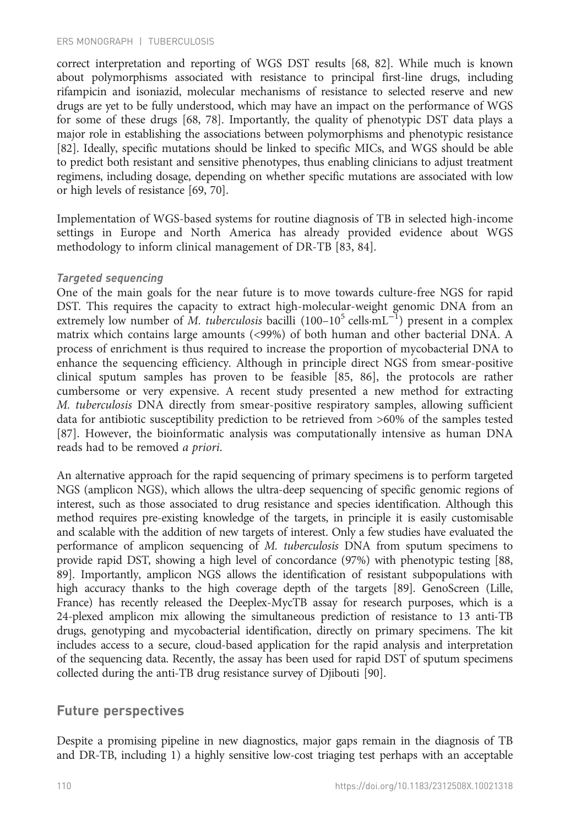correct interpretation and reporting of WGS DST results [\[68](#page-15-0), [82\]](#page-15-0). While much is known about polymorphisms associated with resistance to principal first-line drugs, including rifampicin and isoniazid, molecular mechanisms of resistance to selected reserve and new drugs are yet to be fully understood, which may have an impact on the performance of WGS for some of these drugs [[68](#page-15-0), [78\]](#page-15-0). Importantly, the quality of phenotypic DST data plays a major role in establishing the associations between polymorphisms and phenotypic resistance [[82\]](#page-15-0). Ideally, specific mutations should be linked to specific MICs, and WGS should be able to predict both resistant and sensitive phenotypes, thus enabling clinicians to adjust treatment regimens, including dosage, depending on whether specific mutations are associated with low or high levels of resistance [[69](#page-15-0), [70\]](#page-15-0).

Implementation of WGS-based systems for routine diagnosis of TB in selected high-income settings in Europe and North America has already provided evidence about WGS methodology to inform clinical management of DR-TB [[83,](#page-15-0) [84](#page-16-0)].

#### Targeted sequencing

One of the main goals for the near future is to move towards culture-free NGS for rapid DST. This requires the capacity to extract high-molecular-weight genomic DNA from an extremely low number of M. tuberculosis bacilli (100–10<sup>5</sup> cells·mL<sup>-1</sup>) present in a complex matrix which contains large amounts (<99%) of both human and other bacterial DNA. A process of enrichment is thus required to increase the proportion of mycobacterial DNA to enhance the sequencing efficiency. Although in principle direct NGS from smear-positive clinical sputum samples has proven to be feasible [[85, 86](#page-16-0)], the protocols are rather cumbersome or very expensive. A recent study presented a new method for extracting M. tuberculosis DNA directly from smear-positive respiratory samples, allowing sufficient data for antibiotic susceptibility prediction to be retrieved from >60% of the samples tested [[87\]](#page-16-0). However, the bioinformatic analysis was computationally intensive as human DNA reads had to be removed a priori.

An alternative approach for the rapid sequencing of primary specimens is to perform targeted NGS (amplicon NGS), which allows the ultra-deep sequencing of specific genomic regions of interest, such as those associated to drug resistance and species identification. Although this method requires pre-existing knowledge of the targets, in principle it is easily customisable and scalable with the addition of new targets of interest. Only a few studies have evaluated the performance of amplicon sequencing of M. tuberculosis DNA from sputum specimens to provide rapid DST, showing a high level of concordance (97%) with phenotypic testing [\[88](#page-16-0), [89](#page-16-0)]. Importantly, amplicon NGS allows the identification of resistant subpopulations with high accuracy thanks to the high coverage depth of the targets [\[89\]](#page-16-0). GenoScreen (Lille, France) has recently released the Deeplex-MycTB assay for research purposes, which is a 24-plexed amplicon mix allowing the simultaneous prediction of resistance to 13 anti-TB drugs, genotyping and mycobacterial identification, directly on primary specimens. The kit includes access to a secure, cloud-based application for the rapid analysis and interpretation of the sequencing data. Recently, the assay has been used for rapid DST of sputum specimens collected during the anti-TB drug resistance survey of Djibouti [\[90\]](#page-16-0).

# Future perspectives

Despite a promising pipeline in new diagnostics, major gaps remain in the diagnosis of TB and DR-TB, including 1) a highly sensitive low-cost triaging test perhaps with an acceptable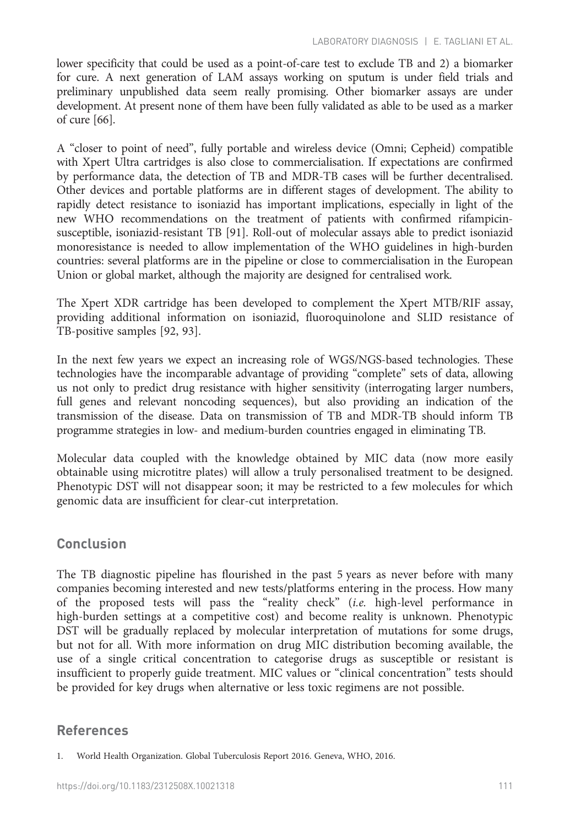lower specificity that could be used as a point-of-care test to exclude TB and 2) a biomarker for cure. A next generation of LAM assays working on sputum is under field trials and preliminary unpublished data seem really promising. Other biomarker assays are under development. At present none of them have been fully validated as able to be used as a marker of cure [[66](#page-15-0)].

A "closer to point of need", fully portable and wireless device (Omni; Cepheid) compatible with Xpert Ultra cartridges is also close to commercialisation. If expectations are confirmed by performance data, the detection of TB and MDR-TB cases will be further decentralised. Other devices and portable platforms are in different stages of development. The ability to rapidly detect resistance to isoniazid has important implications, especially in light of the new WHO recommendations on the treatment of patients with confirmed rifampicinsusceptible, isoniazid-resistant TB [[91\]](#page-16-0). Roll-out of molecular assays able to predict isoniazid monoresistance is needed to allow implementation of the WHO guidelines in high-burden countries: several platforms are in the pipeline or close to commercialisation in the European Union or global market, although the majority are designed for centralised work.

The Xpert XDR cartridge has been developed to complement the Xpert MTB/RIF assay, providing additional information on isoniazid, fluoroquinolone and SLID resistance of TB-positive samples [[92, 93](#page-16-0)].

In the next few years we expect an increasing role of WGS/NGS-based technologies. These technologies have the incomparable advantage of providing "complete" sets of data, allowing us not only to predict drug resistance with higher sensitivity (interrogating larger numbers, full genes and relevant noncoding sequences), but also providing an indication of the transmission of the disease. Data on transmission of TB and MDR-TB should inform TB programme strategies in low- and medium-burden countries engaged in eliminating TB.

Molecular data coupled with the knowledge obtained by MIC data (now more easily obtainable using microtitre plates) will allow a truly personalised treatment to be designed. Phenotypic DST will not disappear soon; it may be restricted to a few molecules for which genomic data are insufficient for clear-cut interpretation.

# Conclusion

The TB diagnostic pipeline has flourished in the past 5 years as never before with many companies becoming interested and new tests/platforms entering in the process. How many of the proposed tests will pass the "reality check" (i.e. high-level performance in high-burden settings at a competitive cost) and become reality is unknown. Phenotypic DST will be gradually replaced by molecular interpretation of mutations for some drugs, but not for all. With more information on drug MIC distribution becoming available, the use of a single critical concentration to categorise drugs as susceptible or resistant is insufficient to properly guide treatment. MIC values or "clinical concentration" tests should be provided for key drugs when alternative or less toxic regimens are not possible.

# References

<sup>1.</sup> World Health Organization. Global Tuberculosis Report 2016. Geneva, WHO, 2016.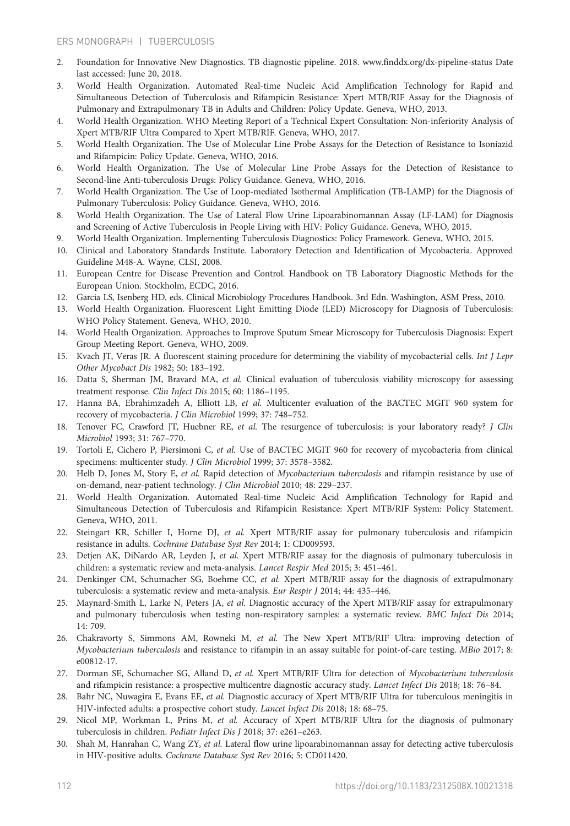- <span id="page-13-0"></span>2. Foundation for Innovative New Diagnostics. TB diagnostic pipeline. 2018. [www.finddx.org/dx-pipeline-status](http://www.finddx.org/dx-pipeline-status) Date last accessed: June 20, 2018.
- 3. World Health Organization. Automated Real-time Nucleic Acid Amplification Technology for Rapid and Simultaneous Detection of Tuberculosis and Rifampicin Resistance: Xpert MTB/RIF Assay for the Diagnosis of Pulmonary and Extrapulmonary TB in Adults and Children: Policy Update. Geneva, WHO, 2013.
- 4. World Health Organization. WHO Meeting Report of a Technical Expert Consultation: Non-inferiority Analysis of Xpert MTB/RIF Ultra Compared to Xpert MTB/RIF. Geneva, WHO, 2017.
- 5. World Health Organization. The Use of Molecular Line Probe Assays for the Detection of Resistance to Isoniazid and Rifampicin: Policy Update. Geneva, WHO, 2016.
- 6. World Health Organization. The Use of Molecular Line Probe Assays for the Detection of Resistance to Second-line Anti-tuberculosis Drugs: Policy Guidance. Geneva, WHO, 2016.
- 7. World Health Organization. The Use of Loop-mediated Isothermal Amplification (TB-LAMP) for the Diagnosis of Pulmonary Tuberculosis: Policy Guidance. Geneva, WHO, 2016.
- 8. World Health Organization. The Use of Lateral Flow Urine Lipoarabinomannan Assay (LF-LAM) for Diagnosis and Screening of Active Tuberculosis in People Living with HIV: Policy Guidance. Geneva, WHO, 2015.
- 9. World Health Organization. Implementing Tuberculosis Diagnostics: Policy Framework. Geneva, WHO, 2015.
- 10. Clinical and Laboratory Standards Institute. Laboratory Detection and Identification of Mycobacteria. Approved Guideline M48-A. Wayne, CLSI, 2008.
- 11. European Centre for Disease Prevention and Control. Handbook on TB Laboratory Diagnostic Methods for the European Union. Stockholm, ECDC, 2016.
- 12. Garcia LS, Isenberg HD, eds. Clinical Microbiology Procedures Handbook. 3rd Edn. Washington, ASM Press, 2010.
- 13. World Health Organization. Fluorescent Light Emitting Diode (LED) Microscopy for Diagnosis of Tuberculosis: WHO Policy Statement. Geneva, WHO, 2010.
- 14. World Health Organization. Approaches to Improve Sputum Smear Microscopy for Tuberculosis Diagnosis: Expert Group Meeting Report. Geneva, WHO, 2009.
- 15. Kvach JT, Veras JR. A fluorescent staining procedure for determining the viability of mycobacterial cells. Int J Lepr Other Mycobact Dis 1982; 50: 183–192.
- 16. Datta S, Sherman JM, Bravard MA, et al. Clinical evaluation of tuberculosis viability microscopy for assessing treatment response. Clin Infect Dis 2015; 60: 1186–1195.
- 17. Hanna BA, Ebrahimzadeh A, Elliott LB, et al. Multicenter evaluation of the BACTEC MGIT 960 system for recovery of mycobacteria. J Clin Microbiol 1999; 37: 748–752.
- 18. Tenover FC, Crawford JT, Huebner RE, et al. The resurgence of tuberculosis: is your laboratory ready? J Clin Microbiol 1993; 31: 767–770.
- 19. Tortoli E, Cichero P, Piersimoni C, et al. Use of BACTEC MGIT 960 for recovery of mycobacteria from clinical specimens: multicenter study. J Clin Microbiol 1999; 37: 3578–3582.
- 20. Helb D, Jones M, Story E, et al. Rapid detection of Mycobacterium tuberculosis and rifampin resistance by use of on-demand, near-patient technology. J Clin Microbiol 2010; 48: 229–237.
- 21. World Health Organization. Automated Real-time Nucleic Acid Amplification Technology for Rapid and Simultaneous Detection of Tuberculosis and Rifampicin Resistance: Xpert MTB/RIF System: Policy Statement. Geneva, WHO, 2011.
- 22. Steingart KR, Schiller I, Horne DJ, et al. Xpert MTB/RIF assay for pulmonary tuberculosis and rifampicin resistance in adults. Cochrane Database Syst Rev 2014; 1: CD009593.
- 23. Detjen AK, DiNardo AR, Leyden J, et al. Xpert MTB/RIF assay for the diagnosis of pulmonary tuberculosis in children: a systematic review and meta-analysis. Lancet Respir Med 2015; 3: 451–461.
- 24. Denkinger CM, Schumacher SG, Boehme CC, et al. Xpert MTB/RIF assay for the diagnosis of extrapulmonary tuberculosis: a systematic review and meta-analysis. Eur Respir J 2014; 44: 435–446.
- 25. Maynard-Smith L, Larke N, Peters JA, et al. Diagnostic accuracy of the Xpert MTB/RIF assay for extrapulmonary and pulmonary tuberculosis when testing non-respiratory samples: a systematic review. BMC Infect Dis 2014; 14: 709.
- 26. Chakravorty S, Simmons AM, Rowneki M, et al. The New Xpert MTB/RIF Ultra: improving detection of Mycobacterium tuberculosis and resistance to rifampin in an assay suitable for point-of-care testing. MBio 2017; 8: e00812-17.
- 27. Dorman SE, Schumacher SG, Alland D, et al. Xpert MTB/RIF Ultra for detection of Mycobacterium tuberculosis and rifampicin resistance: a prospective multicentre diagnostic accuracy study. Lancet Infect Dis 2018; 18: 76–84.
- 28. Bahr NC, Nuwagira E, Evans EE, et al. Diagnostic accuracy of Xpert MTB/RIF Ultra for tuberculous meningitis in HIV-infected adults: a prospective cohort study. Lancet Infect Dis 2018; 18: 68–75.
- 29. Nicol MP, Workman L, Prins M, et al. Accuracy of Xpert MTB/RIF Ultra for the diagnosis of pulmonary tuberculosis in children. Pediatr Infect Dis J 2018; 37: e261–e263.
- 30. Shah M, Hanrahan C, Wang ZY, et al. Lateral flow urine lipoarabinomannan assay for detecting active tuberculosis in HIV-positive adults. Cochrane Database Syst Rev 2016; 5: CD011420.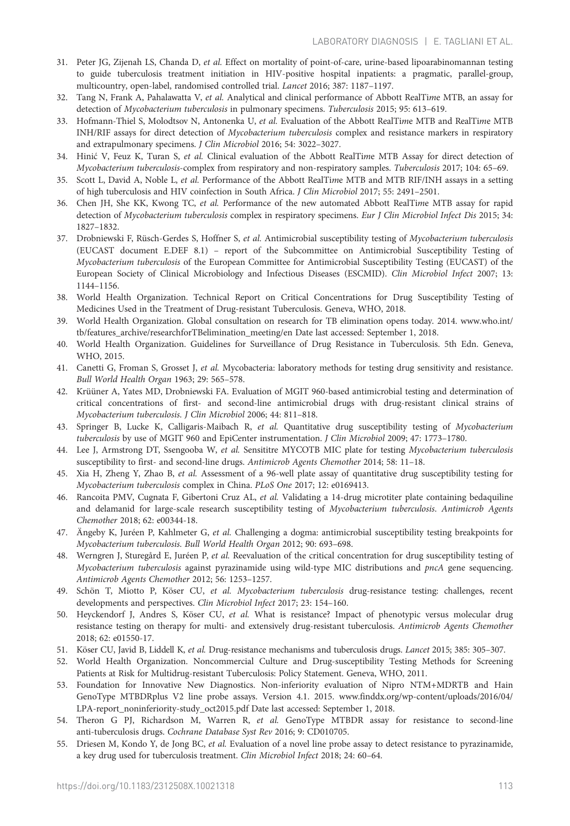- <span id="page-14-0"></span>31. Peter JG, Zijenah LS, Chanda D, et al. Effect on mortality of point-of-care, urine-based lipoarabinomannan testing to guide tuberculosis treatment initiation in HIV-positive hospital inpatients: a pragmatic, parallel-group, multicountry, open-label, randomised controlled trial. Lancet 2016; 387: 1187–1197.
- 32. Tang N, Frank A, Pahalawatta V, et al. Analytical and clinical performance of Abbott RealTime MTB, an assay for detection of Mycobacterium tuberculosis in pulmonary specimens. Tuberculosis 2015; 95: 613–619.
- 33. Hofmann-Thiel S, Molodtsov N, Antonenka U, et al. Evaluation of the Abbott RealTime MTB and RealTime MTB INH/RIF assays for direct detection of Mycobacterium tuberculosis complex and resistance markers in respiratory and extrapulmonary specimens. J Clin Microbiol 2016; 54: 3022–3027.
- 34. Hinić V, Feuz K, Turan S, et al. Clinical evaluation of the Abbott RealTime MTB Assay for direct detection of Mycobacterium tuberculosis-complex from respiratory and non-respiratory samples. Tuberculosis 2017; 104: 65–69.
- 35. Scott L, David A, Noble L, et al. Performance of the Abbott RealTime MTB and MTB RIF/INH assays in a setting of high tuberculosis and HIV coinfection in South Africa. J Clin Microbiol 2017; 55: 2491–2501.
- 36. Chen JH, She KK, Kwong TC, et al. Performance of the new automated Abbott RealTime MTB assay for rapid detection of Mycobacterium tuberculosis complex in respiratory specimens. Eur J Clin Microbiol Infect Dis 2015; 34: 1827–1832.
- 37. Drobniewski F, Rüsch-Gerdes S, Hoffner S, et al. Antimicrobial susceptibility testing of Mycobacterium tuberculosis (EUCAST document E.DEF 8.1) – report of the Subcommittee on Antimicrobial Susceptibility Testing of Mycobacterium tuberculosis of the European Committee for Antimicrobial Susceptibility Testing (EUCAST) of the European Society of Clinical Microbiology and Infectious Diseases (ESCMID). Clin Microbiol Infect 2007; 13: 1144–1156.
- 38. World Health Organization. Technical Report on Critical Concentrations for Drug Susceptibility Testing of Medicines Used in the Treatment of Drug-resistant Tuberculosis. Geneva, WHO, 2018.
- 39. World Health Organization. Global consultation on research for TB elimination opens today. 2014. [www.who.int/](http://www.who.int/tb/features_archive/researchforTBelimination_meeting/en) [tb/features\\_archive/researchforTBelimination\\_meeting/en](http://www.who.int/tb/features_archive/researchforTBelimination_meeting/en) Date last accessed: September 1, 2018.
- 40. World Health Organization. Guidelines for Surveillance of Drug Resistance in Tuberculosis. 5th Edn. Geneva, WHO, 2015.
- 41. Canetti G, Froman S, Grosset J, et al. Mycobacteria: laboratory methods for testing drug sensitivity and resistance. Bull World Health Organ 1963; 29: 565–578.
- 42. Krüüner A, Yates MD, Drobniewski FA. Evaluation of MGIT 960-based antimicrobial testing and determination of critical concentrations of first- and second-line antimicrobial drugs with drug-resistant clinical strains of Mycobacterium tuberculosis. J Clin Microbiol 2006; 44: 811–818.
- 43. Springer B, Lucke K, Calligaris-Maibach R, et al. Quantitative drug susceptibility testing of Mycobacterium tuberculosis by use of MGIT 960 and EpiCenter instrumentation. J Clin Microbiol 2009; 47: 1773-1780.
- 44. Lee J, Armstrong DT, Ssengooba W, et al. Sensititre MYCOTB MIC plate for testing Mycobacterium tuberculosis susceptibility to first- and second-line drugs. Antimicrob Agents Chemother 2014; 58: 11–18.
- 45. Xia H, Zheng Y, Zhao B, et al. Assessment of a 96-well plate assay of quantitative drug susceptibility testing for Mycobacterium tuberculosis complex in China. PLoS One 2017; 12: e0169413.
- 46. Rancoita PMV, Cugnata F, Gibertoni Cruz AL, et al. Validating a 14-drug microtiter plate containing bedaquiline and delamanid for large-scale research susceptibility testing of Mycobacterium tuberculosis. Antimicrob Agents Chemother 2018; 62: e00344-18.
- 47. Ängeby K, Juréen P, Kahlmeter G, et al. Challenging a dogma: antimicrobial susceptibility testing breakpoints for Mycobacterium tuberculosis. Bull World Health Organ 2012; 90: 693–698.
- 48. Werngren J, Sturegård E, Juréen P, et al. Reevaluation of the critical concentration for drug susceptibility testing of Mycobacterium tuberculosis against pyrazinamide using wild-type MIC distributions and pncA gene sequencing. Antimicrob Agents Chemother 2012; 56: 1253–1257.
- 49. Schön T, Miotto P, Köser CU, et al. Mycobacterium tuberculosis drug-resistance testing: challenges, recent developments and perspectives. Clin Microbiol Infect 2017; 23: 154–160.
- 50. Heyckendorf J, Andres S, Köser CU, et al. What is resistance? Impact of phenotypic versus molecular drug resistance testing on therapy for multi- and extensively drug-resistant tuberculosis. Antimicrob Agents Chemother 2018; 62: e01550-17.
- 51. Köser CU, Javid B, Liddell K, et al. Drug-resistance mechanisms and tuberculosis drugs. Lancet 2015; 385: 305–307.
- 52. World Health Organization. Noncommercial Culture and Drug-susceptibility Testing Methods for Screening Patients at Risk for Multidrug-resistant Tuberculosis: Policy Statement. Geneva, WHO, 2011.
- 53. Foundation for Innovative New Diagnostics. Non-inferiority evaluation of Nipro NTM+MDRTB and Hain GenoType MTBDRplus V2 line probe assays. Version 4.1. 2015. [www.finddx.org/wp-content/uploads/2016/04/](http://www.finddx.org/wp-content/uploads/2016/04/LPA-report_noninferiority-study_oct2015.pdf) [LPA-report\\_noninferiority-study\\_oct2015.pdf](http://www.finddx.org/wp-content/uploads/2016/04/LPA-report_noninferiority-study_oct2015.pdf) Date last accessed: September 1, 2018.
- 54. Theron G PJ, Richardson M, Warren R, et al. GenoType MTBDR assay for resistance to second-line anti-tuberculosis drugs. Cochrane Database Syst Rev 2016; 9: CD010705.
- 55. Driesen M, Kondo Y, de Jong BC, et al. Evaluation of a novel line probe assay to detect resistance to pyrazinamide, a key drug used for tuberculosis treatment. Clin Microbiol Infect 2018; 24: 60–64.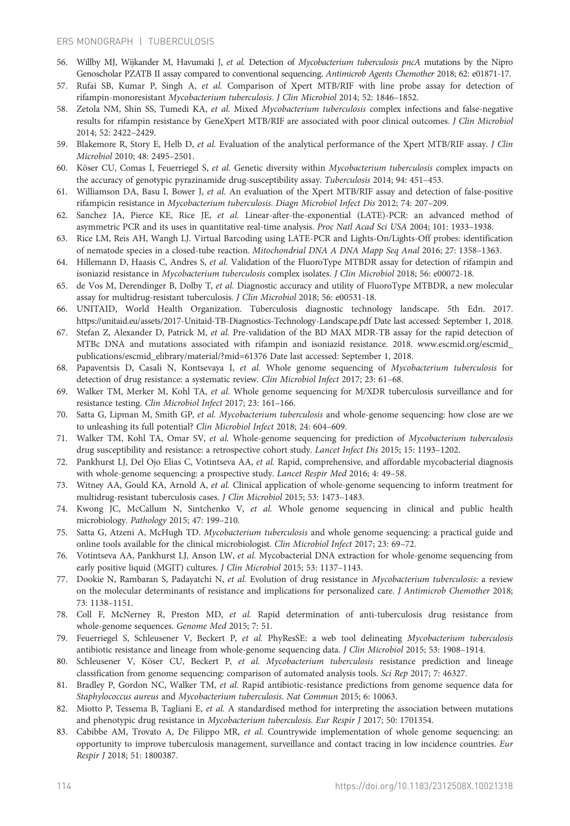- <span id="page-15-0"></span>56. Willby MJ, Wijkander M, Havumaki J, et al. Detection of Mycobacterium tuberculosis pncA mutations by the Nipro Genoscholar PZATB II assay compared to conventional sequencing. Antimicrob Agents Chemother 2018; 62: e01871-17.
- 57. Rufai SB, Kumar P, Singh A, et al. Comparison of Xpert MTB/RIF with line probe assay for detection of rifampin-monoresistant Mycobacterium tuberculosis. J Clin Microbiol 2014; 52: 1846–1852.
- 58. Zetola NM, Shin SS, Tumedi KA, et al. Mixed Mycobacterium tuberculosis complex infections and false-negative results for rifampin resistance by GeneXpert MTB/RIF are associated with poor clinical outcomes. J Clin Microbiol 2014; 52: 2422–2429.
- 59. Blakemore R, Story E, Helb D, et al. Evaluation of the analytical performance of the Xpert MTB/RIF assay. J Clin Microbiol 2010; 48: 2495–2501.
- 60. Köser CU, Comas I, Feuerriegel S, et al. Genetic diversity within Mycobacterium tuberculosis complex impacts on the accuracy of genotypic pyrazinamide drug-susceptibility assay. Tuberculosis 2014; 94: 451–453.
- 61. Williamson DA, Basu I, Bower J, et al. An evaluation of the Xpert MTB/RIF assay and detection of false-positive rifampicin resistance in Mycobacterium tuberculosis. Diagn Microbiol Infect Dis 2012; 74: 207–209.
- 62. Sanchez JA, Pierce KE, Rice JE, et al. Linear-after-the-exponential (LATE)-PCR: an advanced method of asymmetric PCR and its uses in quantitative real-time analysis. Proc Natl Acad Sci USA 2004; 101: 1933–1938.
- 63. Rice LM, Reis AH, Wangh LJ. Virtual Barcoding using LATE-PCR and Lights-On/Lights-Off probes: identification of nematode species in a closed-tube reaction. Mitochondrial DNA A DNA Mapp Seq Anal 2016; 27: 1358–1363.
- 64. Hillemann D, Haasis C, Andres S, et al. Validation of the FluoroType MTBDR assay for detection of rifampin and isoniazid resistance in Mycobacterium tuberculosis complex isolates. J Clin Microbiol 2018; 56: e00072-18.
- 65. de Vos M, Derendinger B, Dolby T, et al. Diagnostic accuracy and utility of FluoroType MTBDR, a new molecular assay for multidrug-resistant tuberculosis. J Clin Microbiol 2018; 56: e00531-18.
- 66. UNITAID, World Health Organization. Tuberculosis diagnostic technology landscape. 5th Edn. 2017. <https://unitaid.eu/assets/2017-Unitaid-TB-Diagnostics-Technology-Landscape.pdf> Date last accessed: September 1, 2018.
- 67. Stefan Z, Alexander D, Patrick M, et al. Pre-validation of the BD MAX MDR-TB assay for the rapid detection of MTBc DNA and mutations associated with rifampin and isoniazid resistance. 2018. [www.escmid.org/escmid\\_](https://www.escmid.org/escmid_publications/escmid_elibrary/material/?mid=61376) [publications/escmid\\_elibrary/material/?mid=61376](https://www.escmid.org/escmid_publications/escmid_elibrary/material/?mid=61376) Date last accessed: September 1, 2018.
- 68. Papaventsis D, Casali N, Kontsevaya I, et al. Whole genome sequencing of Mycobacterium tuberculosis for detection of drug resistance: a systematic review. Clin Microbiol Infect 2017; 23: 61–68.
- 69. Walker TM, Merker M, Kohl TA, et al. Whole genome sequencing for M/XDR tuberculosis surveillance and for resistance testing. Clin Microbiol Infect 2017; 23: 161–166.
- 70. Satta G, Lipman M, Smith GP, et al. Mycobacterium tuberculosis and whole-genome sequencing: how close are we to unleashing its full potential? Clin Microbiol Infect 2018; 24: 604–609.
- 71. Walker TM, Kohl TA, Omar SV, et al. Whole-genome sequencing for prediction of Mycobacterium tuberculosis drug susceptibility and resistance: a retrospective cohort study. Lancet Infect Dis 2015; 15: 1193–1202.
- 72. Pankhurst LJ, Del Ojo Elias C, Votintseva AA, et al. Rapid, comprehensive, and affordable mycobacterial diagnosis with whole-genome sequencing: a prospective study. Lancet Respir Med 2016; 4: 49–58.
- 73. Witney AA, Gould KA, Arnold A, et al. Clinical application of whole-genome sequencing to inform treatment for multidrug-resistant tuberculosis cases. J Clin Microbiol 2015; 53: 1473–1483.
- 74. Kwong JC, McCallum N, Sintchenko V, et al. Whole genome sequencing in clinical and public health microbiology. Pathology 2015; 47: 199–210.
- 75. Satta G, Atzeni A, McHugh TD. Mycobacterium tuberculosis and whole genome sequencing: a practical guide and online tools available for the clinical microbiologist. Clin Microbiol Infect 2017; 23: 69–72.
- 76. Votintseva AA, Pankhurst LJ, Anson LW, et al. Mycobacterial DNA extraction for whole-genome sequencing from early positive liquid (MGIT) cultures. J Clin Microbiol 2015; 53: 1137–1143.
- 77. Dookie N, Rambaran S, Padayatchi N, et al. Evolution of drug resistance in Mycobacterium tuberculosis: a review on the molecular determinants of resistance and implications for personalized care. J Antimicrob Chemother 2018; 73: 1138–1151.
- 78. Coll F, McNerney R, Preston MD, et al. Rapid determination of anti-tuberculosis drug resistance from whole-genome sequences. Genome Med 2015; 7: 51.
- 79. Feuerriegel S, Schleusener V, Beckert P, et al. PhyResSE: a web tool delineating Mycobacterium tuberculosis antibiotic resistance and lineage from whole-genome sequencing data. J Clin Microbiol 2015; 53: 1908–1914.
- 80. Schleusener V, Köser CU, Beckert P, et al. Mycobacterium tuberculosis resistance prediction and lineage classification from genome sequencing: comparison of automated analysis tools. Sci Rep 2017; 7: 46327.
- 81. Bradley P, Gordon NC, Walker TM, et al. Rapid antibiotic-resistance predictions from genome sequence data for Staphylococcus aureus and Mycobacterium tuberculosis. Nat Commun 2015; 6: 10063.
- 82. Miotto P, Tessema B, Tagliani E, et al. A standardised method for interpreting the association between mutations and phenotypic drug resistance in Mycobacterium tuberculosis. Eur Respir J 2017; 50: 1701354.
- 83. Cabibbe AM, Trovato A, De Filippo MR, et al. Countrywide implementation of whole genome sequencing: an opportunity to improve tuberculosis management, surveillance and contact tracing in low incidence countries. Eur Respir J 2018; 51: 1800387.